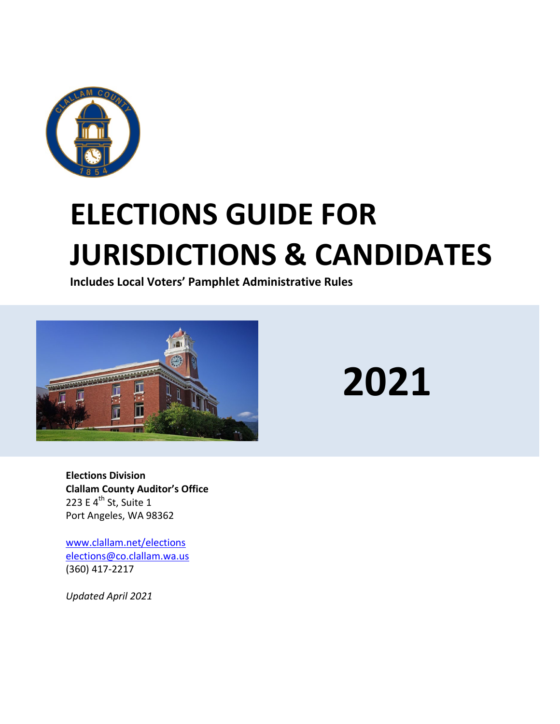

# **ELECTIONS GUIDE FOR JURISDICTIONS & CANDIDATES**

**Includes Local Voters' Pamphlet Administrative Rules**



**2021**

**Elections Division Clallam County Auditor's Office** 223 E 4<sup>th</sup> St, Suite 1 Port Angeles, WA 98362

[www.clallam.net/elections](http://www.clallam.net/elections) [elections@co.clallam.wa.us](mailto:elections@co.clallam.wa.us) (360) 417-2217

*Updated April 2021*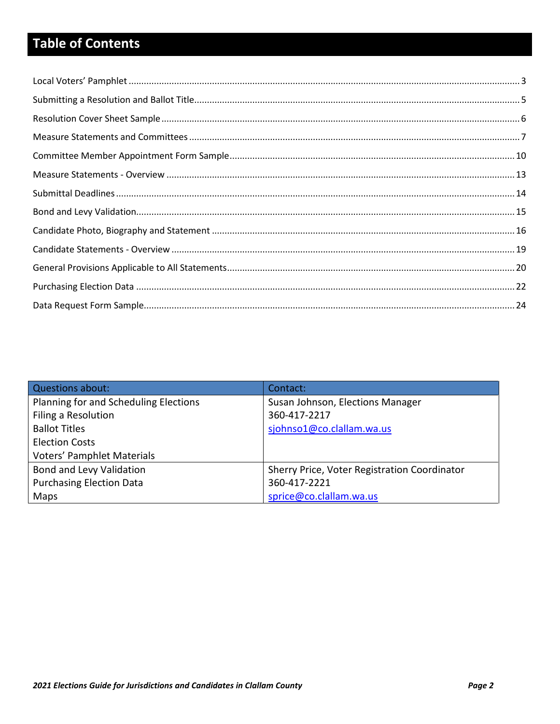# **Table of Contents**

| Questions about:                      | Contact:                                     |
|---------------------------------------|----------------------------------------------|
| Planning for and Scheduling Elections | Susan Johnson, Elections Manager             |
| Filing a Resolution                   | 360-417-2217                                 |
| <b>Ballot Titles</b>                  | sjohnso1@co.clallam.wa.us                    |
| <b>Election Costs</b>                 |                                              |
| <b>Voters' Pamphlet Materials</b>     |                                              |
| Bond and Levy Validation              | Sherry Price, Voter Registration Coordinator |
| <b>Purchasing Election Data</b>       | 360-417-2221                                 |
| Maps                                  | sprice@co.clallam.wa.us                      |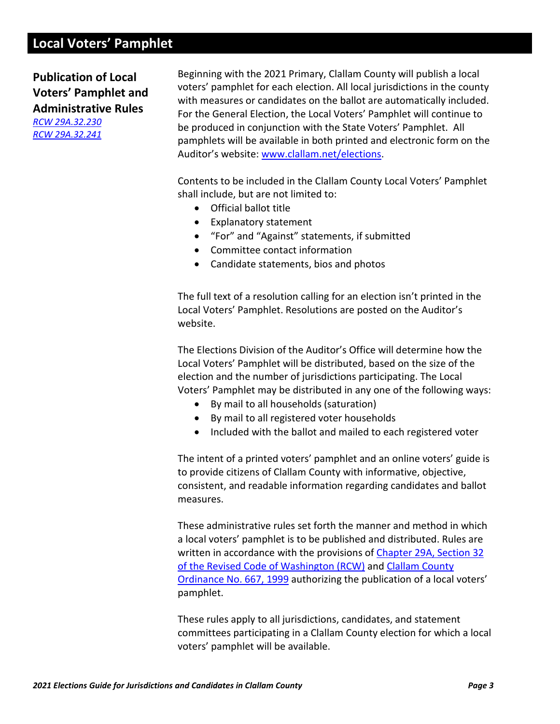# <span id="page-2-0"></span>**Local Voters' Pamphlet**

**Publication of Local Voters' Pamphlet and Administrative Rules** *[RCW 29A.32.230](https://app.leg.wa.gov/rcw/default.aspx?cite=29A.32.230)*

*[RCW 29A.32.241](https://apps.leg.wa.gov/rcw/default.aspx?cite=29A.32.241)*

Beginning with the 2021 Primary, Clallam County will publish a local voters' pamphlet for each election. All local jurisdictions in the county with measures or candidates on the ballot are automatically included. For the General Election, the Local Voters' Pamphlet will continue to be produced in conjunction with the State Voters' Pamphlet. All pamphlets will be available in both printed and electronic form on the Auditor's website: [www.clallam.net/elections.](http://www.clallam.net/elections)

Contents to be included in the Clallam County Local Voters' Pamphlet shall include, but are not limited to:

- Official ballot title
- Explanatory statement
- "For" and "Against" statements, if submitted
- Committee contact information
- Candidate statements, bios and photos

The full text of a resolution calling for an election isn't printed in the Local Voters' Pamphlet. Resolutions are posted on the Auditor's website.

The Elections Division of the Auditor's Office will determine how the Local Voters' Pamphlet will be distributed, based on the size of the election and the number of jurisdictions participating. The Local Voters' Pamphlet may be distributed in any one of the following ways:

- By mail to all households (saturation)
- By mail to all registered voter households
- Included with the ballot and mailed to each registered voter

The intent of a printed voters' pamphlet and an online voters' guide is to provide citizens of Clallam County with informative, objective, consistent, and readable information regarding candidates and ballot measures.

These administrative rules set forth the manner and method in which a local voters' pamphlet is to be published and distributed. Rules are written in accordance with the provisions of [Chapter 29A, Section 32](https://app.leg.wa.gov/rcw/default.aspx?cite=29a.32) of the Revised Code of Washington (RCW) and [Clallam County](http://websrv7.clallam.net/forms/ordinances/Ord667.pdf)  [Ordinance No.](http://websrv7.clallam.net/forms/ordinances/Ord667.pdf) 667, 1999 authorizing the publication of a local voters' pamphlet.

These rules apply to all jurisdictions, candidates, and statement committees participating in a Clallam County election for which a local voters' pamphlet will be available.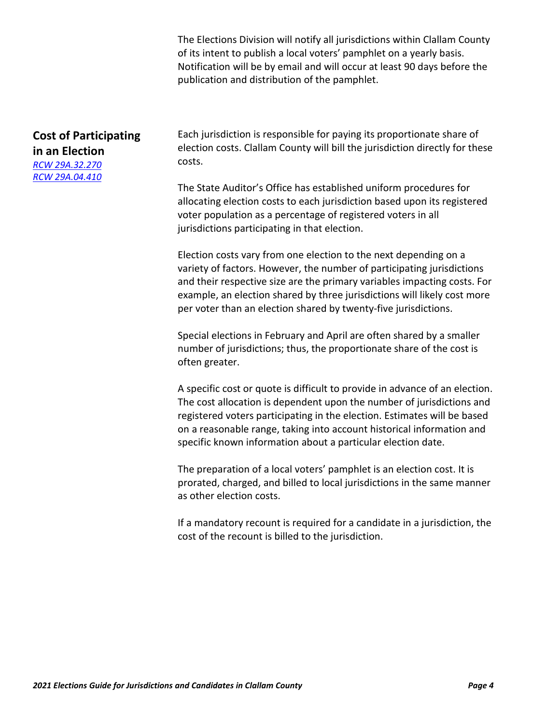The Elections Division will notify all jurisdictions within Clallam County of its intent to publish a local voters' pamphlet on a yearly basis. Notification will be by email and will occur at least 90 days before the publication and distribution of the pamphlet.

# **Cost of Participating in an Election** *[RCW 29A.32.270](https://app.leg.wa.gov/rcw/default.aspx?cite=29a.32.270)*

*[RCW 29A.04.410](https://app.leg.wa.gov/RCW/default.aspx?cite=29A.04.410)*

Each jurisdiction is responsible for paying its proportionate share of election costs. Clallam County will bill the jurisdiction directly for these costs.

The State Auditor's Office has established uniform procedures for allocating election costs to each jurisdiction based upon its registered voter population as a percentage of registered voters in all jurisdictions participating in that election.

Election costs vary from one election to the next depending on a variety of factors. However, the number of participating jurisdictions and their respective size are the primary variables impacting costs. For example, an election shared by three jurisdictions will likely cost more per voter than an election shared by twenty-five jurisdictions.

Special elections in February and April are often shared by a smaller number of jurisdictions; thus, the proportionate share of the cost is often greater.

A specific cost or quote is difficult to provide in advance of an election. The cost allocation is dependent upon the number of jurisdictions and registered voters participating in the election. Estimates will be based on a reasonable range, taking into account historical information and specific known information about a particular election date.

The preparation of a local voters' pamphlet is an election cost. It is prorated, charged, and billed to local jurisdictions in the same manner as other election costs.

If a mandatory recount is required for a candidate in a jurisdiction, the cost of the recount is billed to the jurisdiction.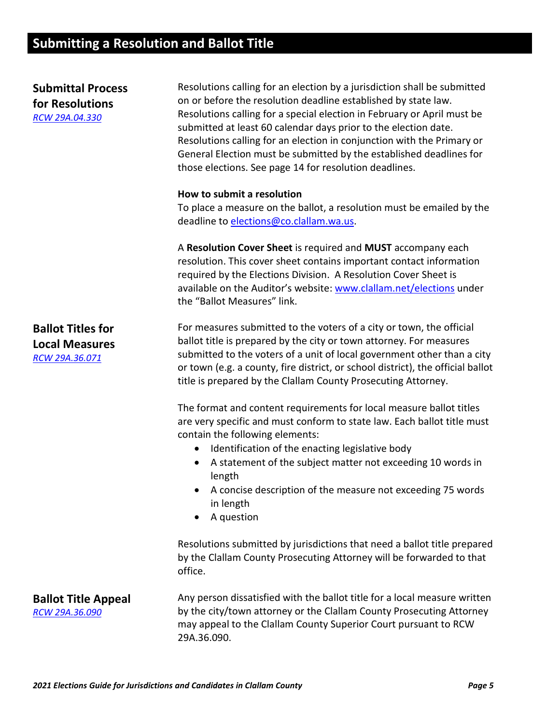# <span id="page-4-0"></span>**Submitting a Resolution and Ballot Title**

| <b>Submittal Process</b><br>for Resolutions<br>RCW 29A.04.330       | Resolutions calling for an election by a jurisdiction shall be submitted<br>on or before the resolution deadline established by state law.<br>Resolutions calling for a special election in February or April must be<br>submitted at least 60 calendar days prior to the election date.<br>Resolutions calling for an election in conjunction with the Primary or<br>General Election must be submitted by the established deadlines for<br>those elections. See page 14 for resolution deadlines. |
|---------------------------------------------------------------------|-----------------------------------------------------------------------------------------------------------------------------------------------------------------------------------------------------------------------------------------------------------------------------------------------------------------------------------------------------------------------------------------------------------------------------------------------------------------------------------------------------|
|                                                                     | How to submit a resolution<br>To place a measure on the ballot, a resolution must be emailed by the<br>deadline to elections@co.clallam.wa.us.                                                                                                                                                                                                                                                                                                                                                      |
|                                                                     | A Resolution Cover Sheet is required and MUST accompany each<br>resolution. This cover sheet contains important contact information<br>required by the Elections Division. A Resolution Cover Sheet is<br>available on the Auditor's website: www.clallam.net/elections under<br>the "Ballot Measures" link.                                                                                                                                                                                        |
| <b>Ballot Titles for</b><br><b>Local Measures</b><br>RCW 29A.36.071 | For measures submitted to the voters of a city or town, the official<br>ballot title is prepared by the city or town attorney. For measures<br>submitted to the voters of a unit of local government other than a city<br>or town (e.g. a county, fire district, or school district), the official ballot<br>title is prepared by the Clallam County Prosecuting Attorney.                                                                                                                          |
|                                                                     | The format and content requirements for local measure ballot titles<br>are very specific and must conform to state law. Each ballot title must<br>contain the following elements:<br>Identification of the enacting legislative body<br>$\bullet$<br>A statement of the subject matter not exceeding 10 words in<br>٠<br>length<br>A concise description of the measure not exceeding 75 words<br>in length<br>A question<br>$\bullet$                                                              |
|                                                                     | Resolutions submitted by jurisdictions that need a ballot title prepared<br>by the Clallam County Prosecuting Attorney will be forwarded to that<br>office.                                                                                                                                                                                                                                                                                                                                         |
| <b>Ballot Title Appeal</b><br>RCW 29A.36.090                        | Any person dissatisfied with the ballot title for a local measure written<br>by the city/town attorney or the Clallam County Prosecuting Attorney<br>may appeal to the Clallam County Superior Court pursuant to RCW<br>29A.36.090.                                                                                                                                                                                                                                                                 |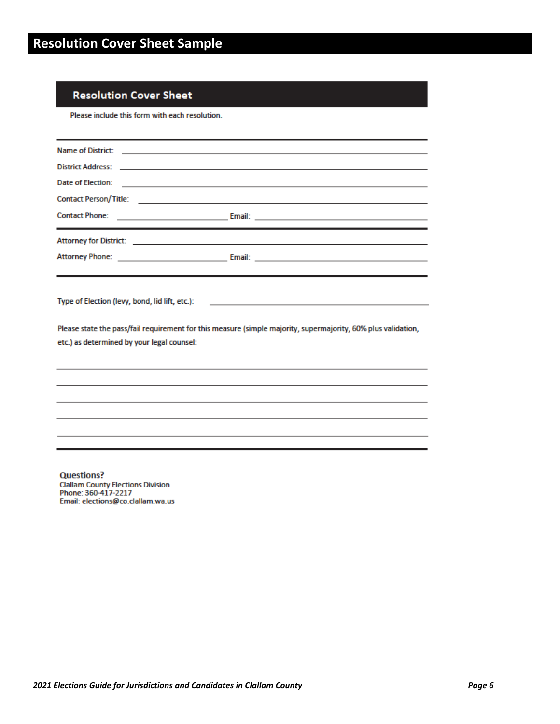## <span id="page-5-0"></span>**Resolution Cover Sheet**

Please include this form with each resolution.

| Date of Election:<br><u> 1989 - Johann Harry Harry Harry Harry Harry Harry Harry Harry Harry Harry Harry Harry Harry Harry Harry Harry</u> |                                                                                                                                                                       |  |  |  |  |
|--------------------------------------------------------------------------------------------------------------------------------------------|-----------------------------------------------------------------------------------------------------------------------------------------------------------------------|--|--|--|--|
|                                                                                                                                            |                                                                                                                                                                       |  |  |  |  |
|                                                                                                                                            |                                                                                                                                                                       |  |  |  |  |
|                                                                                                                                            |                                                                                                                                                                       |  |  |  |  |
|                                                                                                                                            |                                                                                                                                                                       |  |  |  |  |
| Type of Election (levy, bond, lid lift, etc.):<br>etc.) as determined by your legal counsel:                                               | <u> 1989 - Jan Barnett, fransk politik (d. 1989)</u><br>Please state the pass/fail requirement for this measure (simple majority, supermajority, 60% plus validation, |  |  |  |  |
|                                                                                                                                            |                                                                                                                                                                       |  |  |  |  |
|                                                                                                                                            |                                                                                                                                                                       |  |  |  |  |
|                                                                                                                                            |                                                                                                                                                                       |  |  |  |  |
|                                                                                                                                            |                                                                                                                                                                       |  |  |  |  |
|                                                                                                                                            |                                                                                                                                                                       |  |  |  |  |

**Questions?** Ciallam County Elections Division<br>Phone: 360-417-2217<br>Email: elections@co.clallam.wa.us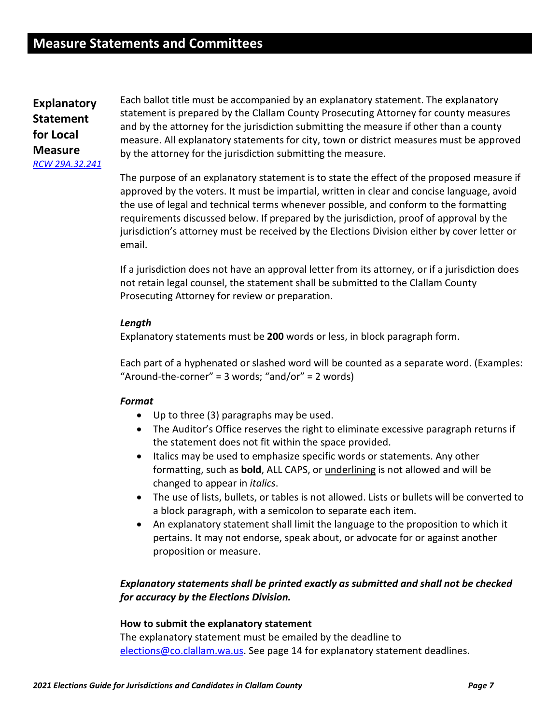<span id="page-6-0"></span>**Explanatory Statement for Local Measure** *[RCW 29A.32.241](https://apps.leg.wa.gov/rcw/default.aspx?cite=29A.32.241)*

Each ballot title must be accompanied by an explanatory statement. The explanatory statement is prepared by the Clallam County Prosecuting Attorney for county measures and by the attorney for the jurisdiction submitting the measure if other than a county measure. All explanatory statements for city, town or district measures must be approved by the attorney for the jurisdiction submitting the measure.

The purpose of an explanatory statement is to state the effect of the proposed measure if approved by the voters. It must be impartial, written in clear and concise language, avoid the use of legal and technical terms whenever possible, and conform to the formatting requirements discussed below. If prepared by the jurisdiction, proof of approval by the jurisdiction's attorney must be received by the Elections Division either by cover letter or email.

If a jurisdiction does not have an approval letter from its attorney, or if a jurisdiction does not retain legal counsel, the statement shall be submitted to the Clallam County Prosecuting Attorney for review or preparation.

#### *Length*

Explanatory statements must be **200** words or less, in block paragraph form.

Each part of a hyphenated or slashed word will be counted as a separate word. (Examples: "Around-the-corner" =  $3$  words; "and/or" =  $2$  words)

## *Format*

- Up to three (3) paragraphs may be used.
- The Auditor's Office reserves the right to eliminate excessive paragraph returns if the statement does not fit within the space provided.
- Italics may be used to emphasize specific words or statements. Any other formatting, such as **bold**, ALL CAPS, or underlining is not allowed and will be changed to appear in *italics*.
- The use of lists, bullets, or tables is not allowed. Lists or bullets will be converted to a block paragraph, with a semicolon to separate each item.
- An explanatory statement shall limit the language to the proposition to which it pertains. It may not endorse, speak about, or advocate for or against another proposition or measure.

## *Explanatory statements shall be printed exactly as submitted and shall not be checked for accuracy by the Elections Division.*

#### **How to submit the explanatory statement**

The explanatory statement must be emailed by the deadline to [elections@co.clallam.wa.us.](mailto:elections@co.clallam.wa.us) See page 14 for explanatory statement deadlines.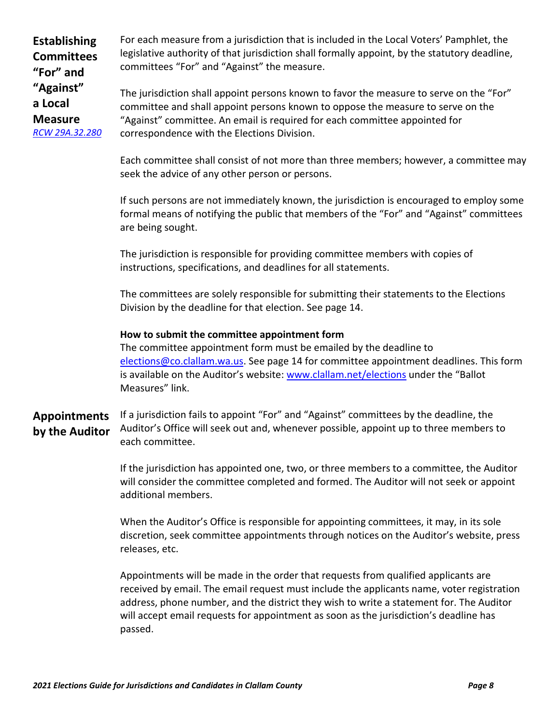**Establishing Committees "For" and "Against" a Local Measure** *[RCW 29A.32.280](https://app.leg.wa.gov/rcw/default.aspx?cite=29A.32.280)* For each measure from a jurisdiction that is included in the Local Voters' Pamphlet, the legislative authority of that jurisdiction shall formally appoint, by the statutory deadline, committees "For" and "Against" the measure.

The jurisdiction shall appoint persons known to favor the measure to serve on the "For" committee and shall appoint persons known to oppose the measure to serve on the "Against" committee. An email is required for each committee appointed for correspondence with the Elections Division.

Each committee shall consist of not more than three members; however, a committee may seek the advice of any other person or persons.

If such persons are not immediately known, the jurisdiction is encouraged to employ some formal means of notifying the public that members of the "For" and "Against" committees are being sought.

The jurisdiction is responsible for providing committee members with copies of instructions, specifications, and deadlines for all statements.

The committees are solely responsible for submitting their statements to the Elections Division by the deadline for that election. See page 14.

## **How to submit the committee appointment form**

The committee appointment form must be emailed by the deadline to [elections@co.clallam.wa.us.](mailto:elections@co.clallam.wa.us) See page 14 for committee appointment deadlines. This form is available on the Auditor's website: [www.clallam.net/elections](http://www.clallam.net/elections) under the "Ballot Measures" link.

**Appointments by the Auditor** If a jurisdiction fails to appoint "For" and "Against" committees by the deadline, the Auditor's Office will seek out and, whenever possible, appoint up to three members to each committee.

> If the jurisdiction has appointed one, two, or three members to a committee, the Auditor will consider the committee completed and formed. The Auditor will not seek or appoint additional members.

> When the Auditor's Office is responsible for appointing committees, it may, in its sole discretion, seek committee appointments through notices on the Auditor's website, press releases, etc.

> Appointments will be made in the order that requests from qualified applicants are received by email. The email request must include the applicants name, voter registration address, phone number, and the district they wish to write a statement for. The Auditor will accept email requests for appointment as soon as the jurisdiction's deadline has passed.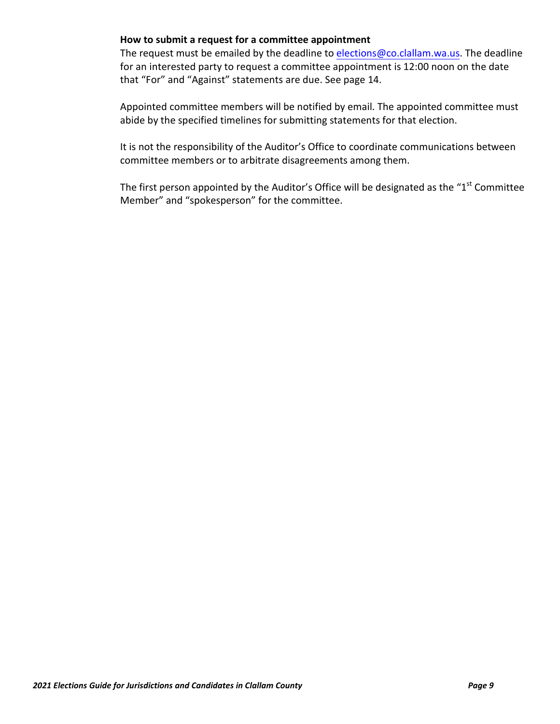#### **How to submit a request for a committee appointment**

The request must be emailed by the deadline to [elections@co.clallam.wa.us.](mailto:elections@co.clallam.wa.us) The deadline for an interested party to request a committee appointment is 12:00 noon on the date that "For" and "Against" statements are due. See page 14.

Appointed committee members will be notified by email. The appointed committee must abide by the specified timelines for submitting statements for that election.

It is not the responsibility of the Auditor's Office to coordinate communications between committee members or to arbitrate disagreements among them.

The first person appointed by the Auditor's Office will be designated as the "1<sup>st</sup> Committee Member" and "spokesperson" for the committee.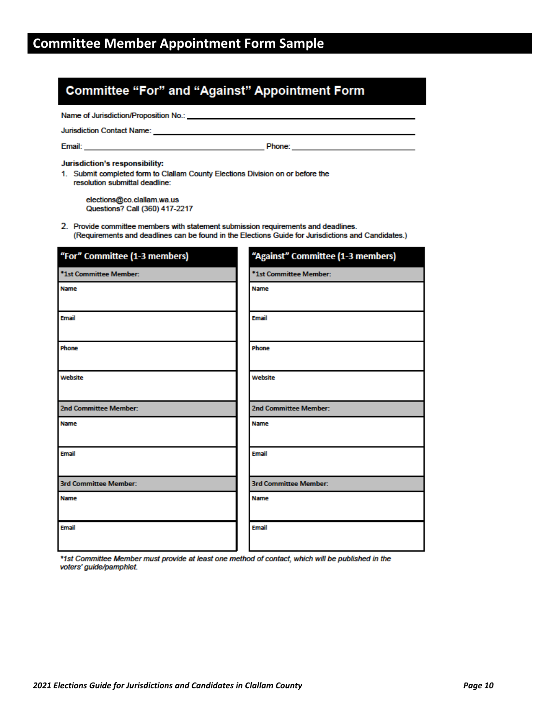# <span id="page-9-0"></span>**Committee "For" and "Against" Appointment Form**

Name of Jurisdiction/Proposition No.: \_

Jurisdiction Contact Name: \_\_

Email:

**Example 2** Phone:

Jurisdiction's responsibility:

1. Submit completed form to Clallam County Elections Division on or before the resolution submittal deadline:

elections@co.clallam.wa.us Questions? Call (360) 417-2217

2. Provide committee members with statement submission requirements and deadlines. (Requirements and deadlines can be found in the Elections Guide for Jurisdictions and Candidates.)

| "For" Committee (1-3 members) | "Against" Committee (1-3 members) |
|-------------------------------|-----------------------------------|
| *1st Committee Member:        | *1st Committee Member:            |
| Name                          | <b>Name</b>                       |
| <b>Email</b>                  | <b>Email</b>                      |
| Phone                         | Phone                             |
| Website                       | Website                           |
| 2nd Committee Member:         | 2nd Committee Member:             |
| <b>Name</b>                   | <b>Name</b>                       |
| <b>Email</b>                  | <b>Email</b>                      |
| <b>3rd Committee Member:</b>  | <b>3rd Committee Member:</b>      |
| <b>Name</b>                   | <b>Name</b>                       |
| <b>Email</b>                  | <b>Email</b>                      |

\*1st Committee Member must provide at least one method of contact, which will be published in the voters' guide/pamphlet.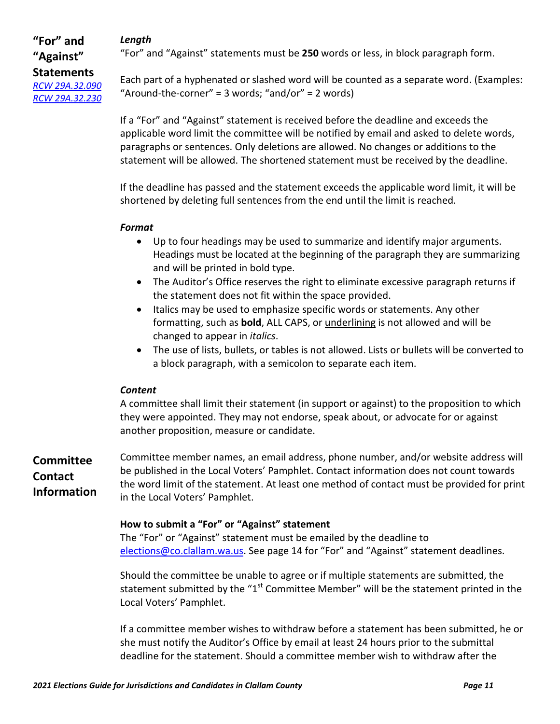## *Length*

## **"For" and "Against" Statements**  *[RCW 29A.32.090](https://app.leg.wa.gov/rcw/default.aspx?cite=29A.32.090) [RCW 29A.32.230](https://app.leg.wa.gov/rcw/default.aspx?cite=29A.32.230)*

"For" and "Against" statements must be **250** words or less, in block paragraph form.

Each part of a hyphenated or slashed word will be counted as a separate word. (Examples: "Around-the-corner" = 3 words; "and/or" = 2 words)

If a "For" and "Against" statement is received before the deadline and exceeds the applicable word limit the committee will be notified by email and asked to delete words, paragraphs or sentences. Only deletions are allowed. No changes or additions to the statement will be allowed. The shortened statement must be received by the deadline.

If the deadline has passed and the statement exceeds the applicable word limit, it will be shortened by deleting full sentences from the end until the limit is reached.

## *Format*

- Up to four headings may be used to summarize and identify major arguments. Headings must be located at the beginning of the paragraph they are summarizing and will be printed in bold type.
- The Auditor's Office reserves the right to eliminate excessive paragraph returns if the statement does not fit within the space provided.
- Italics may be used to emphasize specific words or statements. Any other formatting, such as **bold**, ALL CAPS, or underlining is not allowed and will be changed to appear in *italics*.
- The use of lists, bullets, or tables is not allowed. Lists or bullets will be converted to a block paragraph, with a semicolon to separate each item.

## *Content*

A committee shall limit their statement (in support or against) to the proposition to which they were appointed. They may not endorse, speak about, or advocate for or against another proposition, measure or candidate.

**Committee Contact Information** Committee member names, an email address, phone number, and/or website address will be published in the Local Voters' Pamphlet. Contact information does not count towards the word limit of the statement. At least one method of contact must be provided for print in the Local Voters' Pamphlet.

## **How to submit a "For" or "Against" statement**

The "For" or "Against" statement must be emailed by the deadline to [elections@co.clallam.wa.us.](mailto:elections@co.clallam.wa.us) See page 14 for "For" and "Against" statement deadlines.

Should the committee be unable to agree or if multiple statements are submitted, the statement submitted by the " $1<sup>st</sup>$  Committee Member" will be the statement printed in the Local Voters' Pamphlet.

If a committee member wishes to withdraw before a statement has been submitted, he or she must notify the Auditor's Office by email at least 24 hours prior to the submittal deadline for the statement. Should a committee member wish to withdraw after the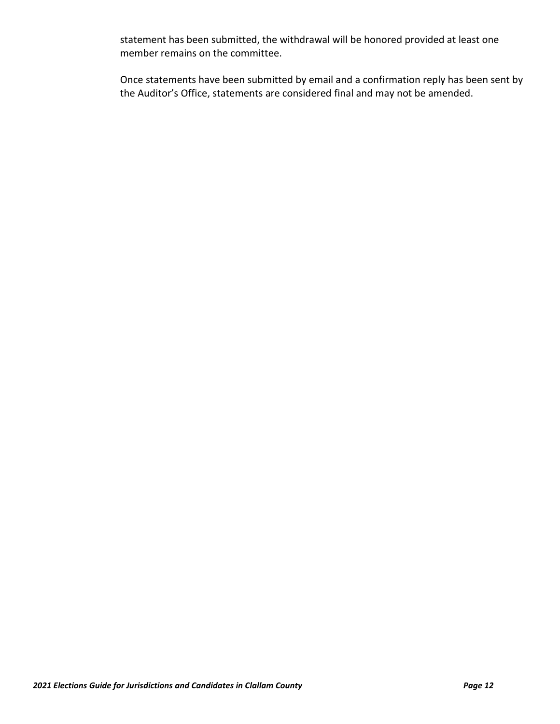statement has been submitted, the withdrawal will be honored provided at least one member remains on the committee.

Once statements have been submitted by email and a confirmation reply has been sent by the Auditor's Office, statements are considered final and may not be amended.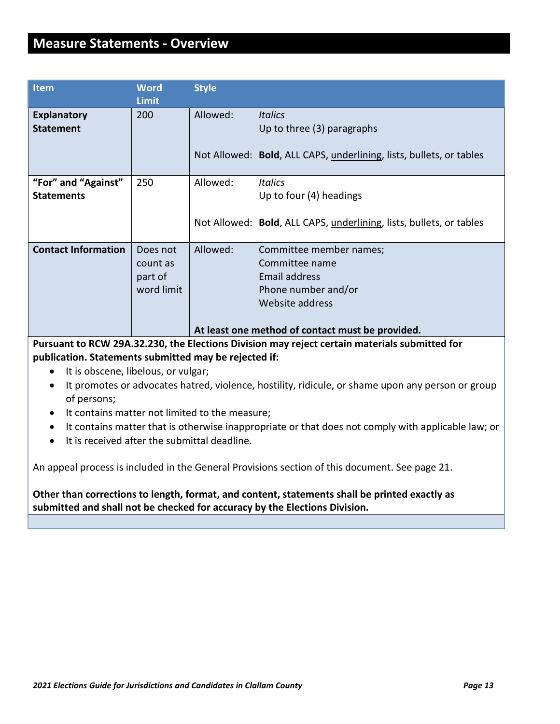# <span id="page-12-0"></span>**Measure Statements - Overview**

| <b>Item</b>                              | <b>Word</b><br><b>Limit</b>                   | <b>Style</b> |                                                                                                                                                                 |
|------------------------------------------|-----------------------------------------------|--------------|-----------------------------------------------------------------------------------------------------------------------------------------------------------------|
| <b>Explanatory</b><br><b>Statement</b>   | 200                                           | Allowed:     | <b>Italics</b><br>Up to three (3) paragraphs                                                                                                                    |
|                                          |                                               |              | Not Allowed: Bold, ALL CAPS, underlining, lists, bullets, or tables                                                                                             |
| "For" and "Against"<br><b>Statements</b> | 250                                           | Allowed:     | <b>Italics</b><br>Up to four (4) headings                                                                                                                       |
|                                          |                                               |              | Not Allowed: Bold, ALL CAPS, underlining, lists, bullets, or tables                                                                                             |
| <b>Contact Information</b>               | Does not<br>count as<br>part of<br>word limit | Allowed:     | Committee member names;<br>Committee name<br><b>Email address</b><br>Phone number and/or<br>Website address<br>At least one method of contact must be provided. |
|                                          | <b>BAULARA BRAGA UL</b><br>.                  |              |                                                                                                                                                                 |

**Pursuant to RCW 29A.32.230, the Elections Division may reject certain materials submitted for publication. Statements submitted may be rejected if:**

- It is obscene, libelous, or vulgar;
- It promotes or advocates hatred, violence, hostility, ridicule, or shame upon any person or group of persons;
- It contains matter not limited to the measure;
- It contains matter that is otherwise inappropriate or that does not comply with applicable law; or
- It is received after the submittal deadline.

An appeal process is included in the General Provisions section of this document. See page 21.

**Other than corrections to length, format, and content, statements shall be printed exactly as submitted and shall not be checked for accuracy by the Elections Division.**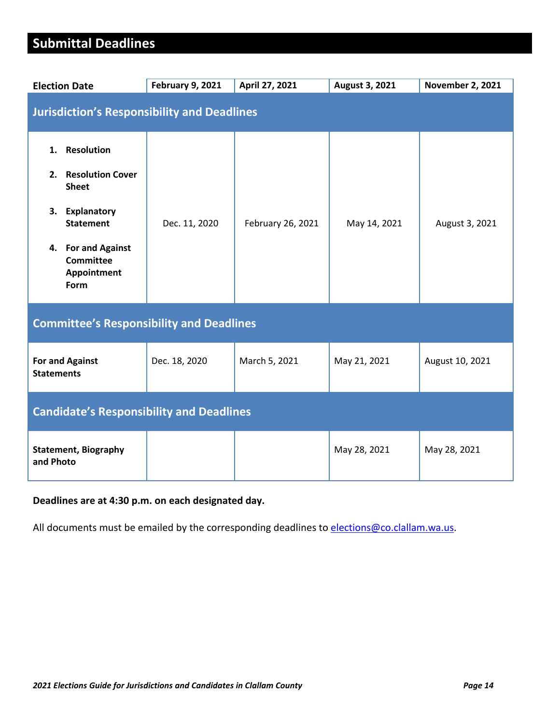# <span id="page-13-0"></span>**Submittal Deadlines**

| <b>Election Date</b>                                                                                                                                                     | <b>February 9, 2021</b> | April 27, 2021    | August 3, 2021 | <b>November 2, 2021</b> |
|--------------------------------------------------------------------------------------------------------------------------------------------------------------------------|-------------------------|-------------------|----------------|-------------------------|
| <b>Jurisdiction's Responsibility and Deadlines</b>                                                                                                                       |                         |                   |                |                         |
| <b>Resolution</b><br>1.<br>2. Resolution Cover<br><b>Sheet</b><br>3.<br>Explanatory<br><b>Statement</b><br>4. For and Against<br><b>Committee</b><br>Appointment<br>Form | Dec. 11, 2020           | February 26, 2021 | May 14, 2021   | August 3, 2021          |
| <b>Committee's Responsibility and Deadlines</b>                                                                                                                          |                         |                   |                |                         |
| <b>For and Against</b><br><b>Statements</b>                                                                                                                              | Dec. 18, 2020           | March 5, 2021     | May 21, 2021   | August 10, 2021         |
| <b>Candidate's Responsibility and Deadlines</b>                                                                                                                          |                         |                   |                |                         |
| <b>Statement, Biography</b><br>and Photo                                                                                                                                 |                         |                   | May 28, 2021   | May 28, 2021            |

## **Deadlines are at 4:30 p.m. on each designated day.**

All documents must be emailed by the corresponding deadlines t[o elections@co.clallam.wa.us.](mailto:elections@co.clallam.wa.us)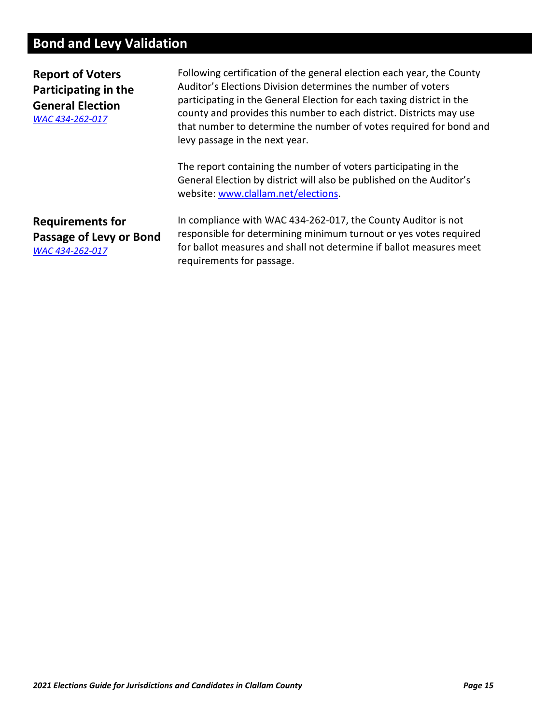# <span id="page-14-0"></span>**Bond and Levy Validation**

**Report of Voters Participating in the General Election** *[WAC 434-262-017](https://app.leg.wa.gov/WAC/default.aspx?cite=434-262-017)*

Following certification of the general election each year, the County Auditor's Elections Division determines the number of voters participating in the General Election for each taxing district in the county and provides this number to each district. Districts may use that number to determine the number of votes required for bond and levy passage in the next year.

The report containing the number of voters participating in the General Election by district will also be published on the Auditor's website[: www.clallam.net/elections.](http://www.clallam.net/elections)

**Requirements for Passage of Levy or Bond** *[WAC 434-262-017](https://app.leg.wa.gov/WAC/default.aspx?cite=434-262-017)*

In compliance with WAC 434-262-017, the County Auditor is not responsible for determining minimum turnout or yes votes required for ballot measures and shall not determine if ballot measures meet requirements for passage.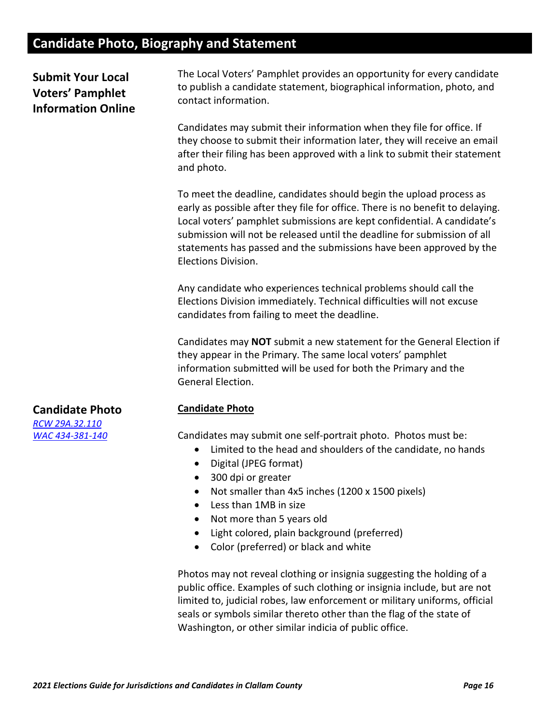# <span id="page-15-0"></span>**Candidate Photo, Biography and Statement**

**Submit Your Local Voters' Pamphlet Information Online** The Local Voters' Pamphlet provides an opportunity for every candidate to publish a candidate statement, biographical information, photo, and contact information.

Candidates may submit their information when they file for office. If they choose to submit their information later, they will receive an email after their filing has been approved with a link to submit their statement and photo.

To meet the deadline, candidates should begin the upload process as early as possible after they file for office. There is no benefit to delaying. Local voters' pamphlet submissions are kept confidential. A candidate's submission will not be released until the deadline for submission of all statements has passed and the submissions have been approved by the Elections Division.

Any candidate who experiences technical problems should call the Elections Division immediately. Technical difficulties will not excuse candidates from failing to meet the deadline.

Candidates may **NOT** submit a new statement for the General Election if they appear in the Primary. The same local voters' pamphlet information submitted will be used for both the Primary and the General Election.

#### **Candidate Photo**

Candidates may submit one self-portrait photo. Photos must be:

- Limited to the head and shoulders of the candidate, no hands
- Digital (JPEG format)
- 300 dpi or greater
- Not smaller than 4x5 inches (1200 x 1500 pixels)
- Less than 1MB in size
- Not more than 5 years old
- Light colored, plain background (preferred)
- Color (preferred) or black and white

Photos may not reveal clothing or insignia suggesting the holding of a public office. Examples of such clothing or insignia include, but are not limited to, judicial robes, law enforcement or military uniforms, official seals or symbols similar thereto other than the flag of the state of Washington, or other similar indicia of public office.

## **Candidate Photo**

*[RCW 29A.32.110](https://app.leg.wa.gov/rcw/default.aspx?cite=29A.32.110) [WAC 434-381-140](https://apps.leg.wa.gov/wac/default.aspx?cite=434-381-140)*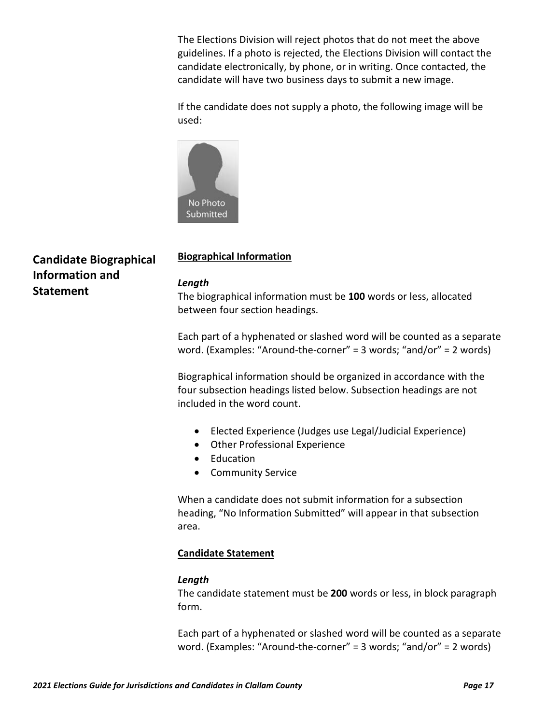The Elections Division will reject photos that do not meet the above guidelines. If a photo is rejected, the Elections Division will contact the candidate electronically, by phone, or in writing. Once contacted, the candidate will have two business days to submit a new image.

If the candidate does not supply a photo, the following image will be used:



# **Candidate Biographical Information and Statement**

## **Biographical Information**

#### *Length*

The biographical information must be **100** words or less, allocated between four section headings.

Each part of a hyphenated or slashed word will be counted as a separate word. (Examples: "Around-the-corner" = 3 words; "and/or" = 2 words)

Biographical information should be organized in accordance with the four subsection headings listed below. Subsection headings are not included in the word count.

- Elected Experience (Judges use Legal/Judicial Experience)
- Other Professional Experience
- Education
- Community Service

When a candidate does not submit information for a subsection heading, "No Information Submitted" will appear in that subsection area.

## **Candidate Statement**

## *Length*

The candidate statement must be **200** words or less, in block paragraph form.

Each part of a hyphenated or slashed word will be counted as a separate word. (Examples: "Around-the-corner" = 3 words; "and/or" = 2 words)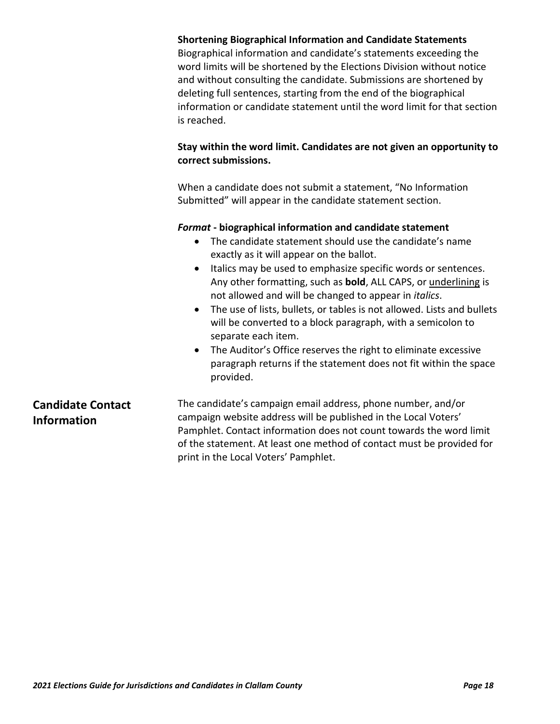|                                                | <b>Shortening Biographical Information and Candidate Statements</b><br>Biographical information and candidate's statements exceeding the<br>word limits will be shortened by the Elections Division without notice<br>and without consulting the candidate. Submissions are shortened by<br>deleting full sentences, starting from the end of the biographical<br>information or candidate statement until the word limit for that section<br>is reached.                                                                                                                                                                                                                                                    |
|------------------------------------------------|--------------------------------------------------------------------------------------------------------------------------------------------------------------------------------------------------------------------------------------------------------------------------------------------------------------------------------------------------------------------------------------------------------------------------------------------------------------------------------------------------------------------------------------------------------------------------------------------------------------------------------------------------------------------------------------------------------------|
|                                                | Stay within the word limit. Candidates are not given an opportunity to<br>correct submissions.                                                                                                                                                                                                                                                                                                                                                                                                                                                                                                                                                                                                               |
|                                                | When a candidate does not submit a statement, "No Information<br>Submitted" will appear in the candidate statement section.                                                                                                                                                                                                                                                                                                                                                                                                                                                                                                                                                                                  |
|                                                | Format - biographical information and candidate statement<br>The candidate statement should use the candidate's name<br>$\bullet$<br>exactly as it will appear on the ballot.<br>Italics may be used to emphasize specific words or sentences.<br>Any other formatting, such as <b>bold</b> , ALL CAPS, or <i>underlining</i> is<br>not allowed and will be changed to appear in italics.<br>The use of lists, bullets, or tables is not allowed. Lists and bullets<br>will be converted to a block paragraph, with a semicolon to<br>separate each item.<br>The Auditor's Office reserves the right to eliminate excessive<br>paragraph returns if the statement does not fit within the space<br>provided. |
| <b>Candidate Contact</b><br><b>Information</b> | The candidate's campaign email address, phone number, and/or<br>campaign website address will be published in the Local Voters'<br>Pamphlet. Contact information does not count towards the word limit<br>of the statement. At least one method of contact must be provided for<br>print in the Local Voters' Pamphlet.                                                                                                                                                                                                                                                                                                                                                                                      |
|                                                |                                                                                                                                                                                                                                                                                                                                                                                                                                                                                                                                                                                                                                                                                                              |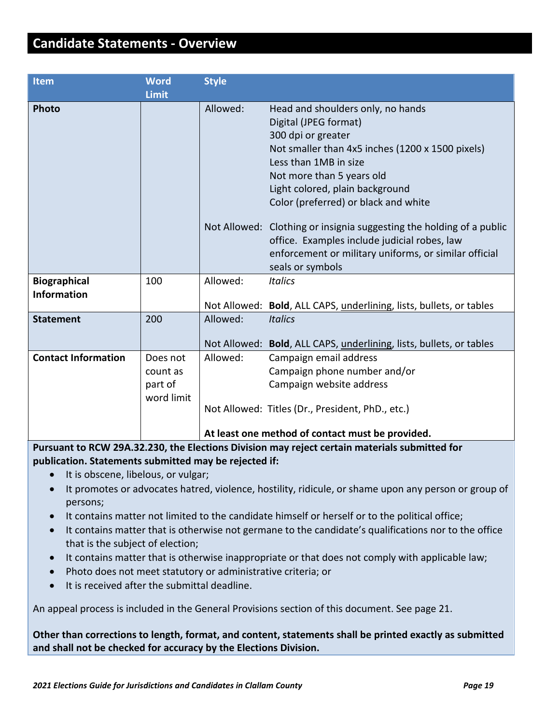# <span id="page-18-0"></span>**Candidate Statements - Overview**

| Item                       | <b>Word</b>  | <b>Style</b> |                                                                      |
|----------------------------|--------------|--------------|----------------------------------------------------------------------|
|                            | <b>Limit</b> |              |                                                                      |
| <b>Photo</b>               |              | Allowed:     | Head and shoulders only, no hands                                    |
|                            |              |              | Digital (JPEG format)                                                |
|                            |              |              | 300 dpi or greater                                                   |
|                            |              |              | Not smaller than 4x5 inches (1200 x 1500 pixels)                     |
|                            |              |              | Less than 1MB in size                                                |
|                            |              |              | Not more than 5 years old                                            |
|                            |              |              | Light colored, plain background                                      |
|                            |              |              | Color (preferred) or black and white                                 |
|                            |              |              | Not Allowed: Clothing or insignia suggesting the holding of a public |
|                            |              |              | office. Examples include judicial robes, law                         |
|                            |              |              | enforcement or military uniforms, or similar official                |
|                            |              |              | seals or symbols                                                     |
| <b>Biographical</b>        | 100          | Allowed:     | <b>Italics</b>                                                       |
| <b>Information</b>         |              |              |                                                                      |
|                            |              |              | Not Allowed: Bold, ALL CAPS, underlining, lists, bullets, or tables  |
| <b>Statement</b>           | 200          | Allowed:     | <b>Italics</b>                                                       |
|                            |              |              | Not Allowed: Bold, ALL CAPS, underlining, lists, bullets, or tables  |
| <b>Contact Information</b> | Does not     | Allowed:     | Campaign email address                                               |
|                            | count as     |              | Campaign phone number and/or                                         |
|                            | part of      |              | Campaign website address                                             |
|                            | word limit   |              |                                                                      |
|                            |              |              | Not Allowed: Titles (Dr., President, PhD., etc.)                     |
|                            |              |              |                                                                      |
|                            |              |              | At least one method of contact must be provided.                     |

**Pursuant to RCW 29A.32.230, the Elections Division may reject certain materials submitted for publication. Statements submitted may be rejected if:**

- It is obscene, libelous, or vulgar;
- It promotes or advocates hatred, violence, hostility, ridicule, or shame upon any person or group of persons;
- It contains matter not limited to the candidate himself or herself or to the political office;
- It contains matter that is otherwise not germane to the candidate's qualifications nor to the office that is the subject of election;
- It contains matter that is otherwise inappropriate or that does not comply with applicable law;
- Photo does not meet statutory or administrative criteria; or
- It is received after the submittal deadline.

An appeal process is included in the General Provisions section of this document. See page 21.

**Other than corrections to length, format, and content, statements shall be printed exactly as submitted and shall not be checked for accuracy by the Elections Division.**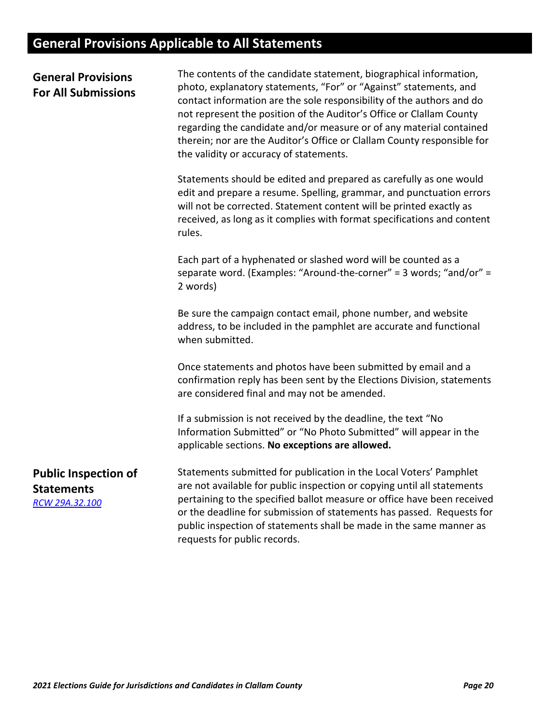# <span id="page-19-0"></span>**General Provisions Applicable to All Statements**

| <b>General Provisions</b><br><b>For All Submissions</b>            | The contents of the candidate statement, biographical information,<br>photo, explanatory statements, "For" or "Against" statements, and<br>contact information are the sole responsibility of the authors and do<br>not represent the position of the Auditor's Office or Clallam County<br>regarding the candidate and/or measure or of any material contained<br>therein; nor are the Auditor's Office or Clallam County responsible for<br>the validity or accuracy of statements. |
|--------------------------------------------------------------------|---------------------------------------------------------------------------------------------------------------------------------------------------------------------------------------------------------------------------------------------------------------------------------------------------------------------------------------------------------------------------------------------------------------------------------------------------------------------------------------|
|                                                                    | Statements should be edited and prepared as carefully as one would<br>edit and prepare a resume. Spelling, grammar, and punctuation errors<br>will not be corrected. Statement content will be printed exactly as<br>received, as long as it complies with format specifications and content<br>rules.                                                                                                                                                                                |
|                                                                    | Each part of a hyphenated or slashed word will be counted as a<br>separate word. (Examples: "Around-the-corner" = 3 words; "and/or" =<br>2 words)                                                                                                                                                                                                                                                                                                                                     |
|                                                                    | Be sure the campaign contact email, phone number, and website<br>address, to be included in the pamphlet are accurate and functional<br>when submitted.                                                                                                                                                                                                                                                                                                                               |
|                                                                    | Once statements and photos have been submitted by email and a<br>confirmation reply has been sent by the Elections Division, statements<br>are considered final and may not be amended.                                                                                                                                                                                                                                                                                               |
|                                                                    | If a submission is not received by the deadline, the text "No<br>Information Submitted" or "No Photo Submitted" will appear in the<br>applicable sections. No exceptions are allowed.                                                                                                                                                                                                                                                                                                 |
| <b>Public Inspection of</b><br><b>Statements</b><br>RCW 29A.32.100 | Statements submitted for publication in the Local Voters' Pamphlet<br>are not available for public inspection or copying until all statements<br>pertaining to the specified ballot measure or office have been received<br>or the deadline for submission of statements has passed. Requests for<br>public inspection of statements shall be made in the same manner as<br>requests for public records.                                                                              |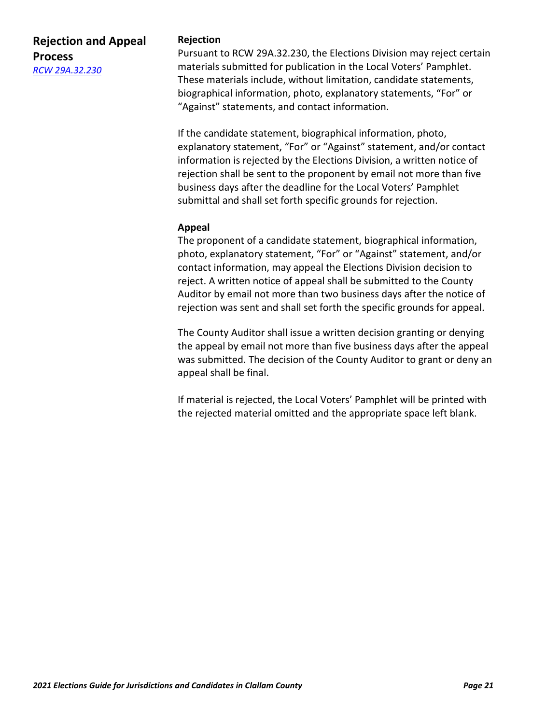## **Rejection and Appeal Process** *[RCW 29A.32.230](https://app.leg.wa.gov/rcw/default.aspx?cite=29A.32.230)*

## **Rejection**

Pursuant to RCW 29A.32.230, the Elections Division may reject certain materials submitted for publication in the Local Voters' Pamphlet. These materials include, without limitation, candidate statements, biographical information, photo, explanatory statements, "For" or "Against" statements, and contact information.

If the candidate statement, biographical information, photo, explanatory statement, "For" or "Against" statement, and/or contact information is rejected by the Elections Division, a written notice of rejection shall be sent to the proponent by email not more than five business days after the deadline for the Local Voters' Pamphlet submittal and shall set forth specific grounds for rejection.

## **Appeal**

The proponent of a candidate statement, biographical information, photo, explanatory statement, "For" or "Against" statement, and/or contact information, may appeal the Elections Division decision to reject. A written notice of appeal shall be submitted to the County Auditor by email not more than two business days after the notice of rejection was sent and shall set forth the specific grounds for appeal.

The County Auditor shall issue a written decision granting or denying the appeal by email not more than five business days after the appeal was submitted. The decision of the County Auditor to grant or deny an appeal shall be final.

If material is rejected, the Local Voters' Pamphlet will be printed with the rejected material omitted and the appropriate space left blank.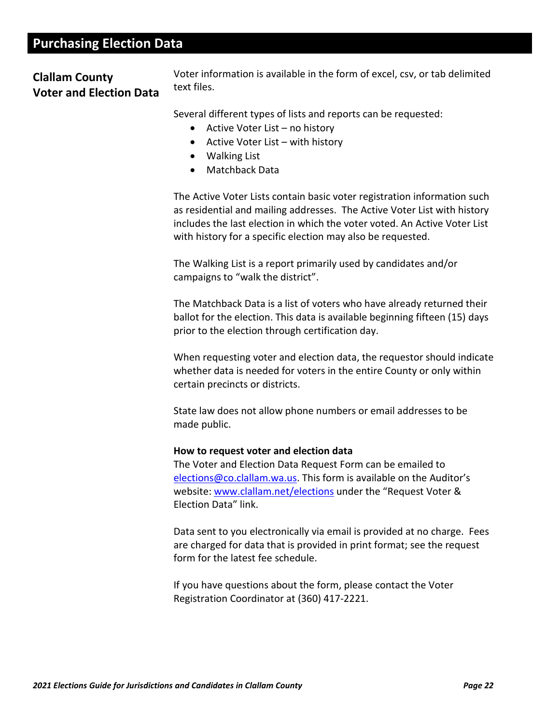# <span id="page-21-0"></span>**Purchasing Election Data**

## **Clallam County Voter and Election Data**

Voter information is available in the form of excel, csv, or tab delimited text files.

Several different types of lists and reports can be requested:

- Active Voter List no history
- Active Voter List with history
- Walking List
- Matchback Data

The Active Voter Lists contain basic voter registration information such as residential and mailing addresses. The Active Voter List with history includes the last election in which the voter voted. An Active Voter List with history for a specific election may also be requested.

The Walking List is a report primarily used by candidates and/or campaigns to "walk the district".

The Matchback Data is a list of voters who have already returned their ballot for the election. This data is available beginning fifteen (15) days prior to the election through certification day.

When requesting voter and election data, the requestor should indicate whether data is needed for voters in the entire County or only within certain precincts or districts.

State law does not allow phone numbers or email addresses to be made public.

#### **How to request voter and election data**

The Voter and Election Data Request Form can be emailed to [elections@co.clallam.wa.us.](mailto:elections@co.clallam.wa.us) This form is available on the Auditor's website: [www.clallam.net/elections](http://www.clallam.net/elections) under the "Request Voter & Election Data" link.

Data sent to you electronically via email is provided at no charge. Fees are charged for data that is provided in print format; see the request form for the latest fee schedule.

If you have questions about the form, please contact the Voter Registration Coordinator at (360) 417-2221.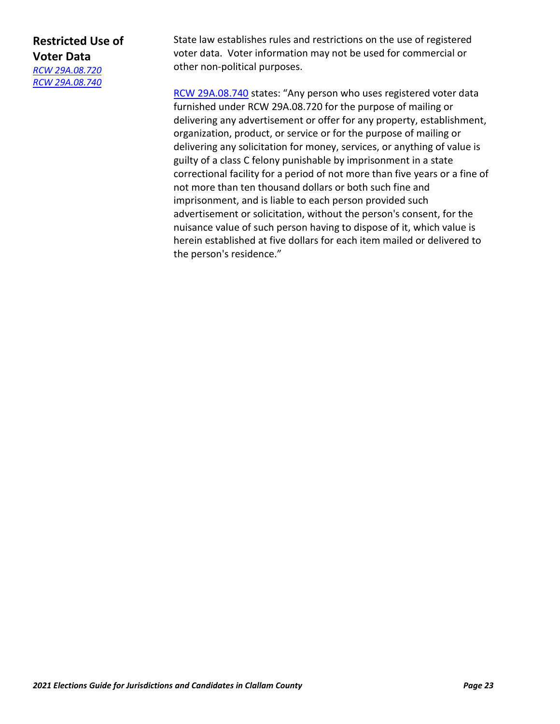# **Restricted Use of Voter Data** *[RCW 29A.08.720](https://apps.leg.wa.gov/Rcw/default.aspx?cite=29A.08.720)*

*[RCW 29A.08.740](https://apps.leg.wa.gov/rcw/default.aspx?cite=29A.08.740)*

State law establishes rules and restrictions on the use of registered voter data. Voter information may not be used for commercial or other non-political purposes.

[RCW 29A.08.740](https://apps.leg.wa.gov/rcw/default.aspx?cite=29A.08.740) states: "Any person who uses registered voter data furnished under RCW 29A.08.720 for the purpose of mailing or delivering any advertisement or offer for any property, establishment, organization, product, or service or for the purpose of mailing or delivering any solicitation for money, services, or anything of value is guilty of a class C felony punishable by imprisonment in a state correctional facility for a period of not more than five years or a fine of not more than ten thousand dollars or both such fine and imprisonment, and is liable to each person provided such advertisement or solicitation, without the person's consent, for the nuisance value of such person having to dispose of it, which value is herein established at five dollars for each item mailed or delivered to the person's residence."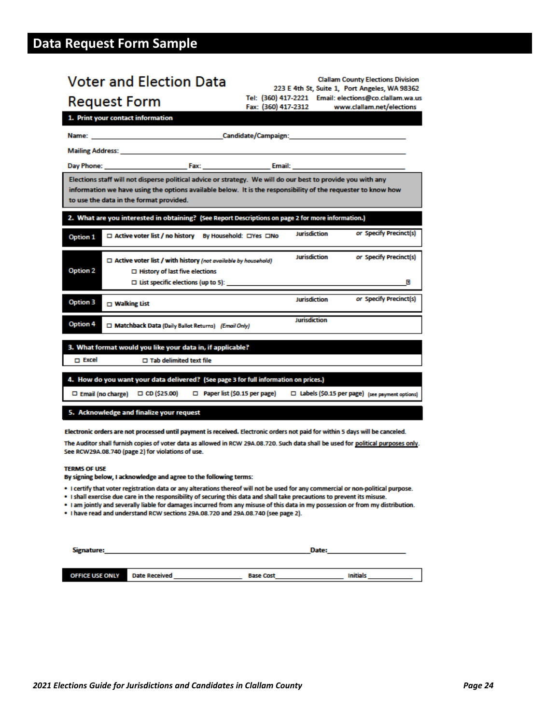# <span id="page-23-0"></span>**Data Request Form Sample**

| <b>Voter and Election Data</b>                                                                                                                                         | <b>Clallam County Elections Division</b><br>223 E 4th St, Suite 1, Port Angeles, WA 98362                                                                                                                                      |
|------------------------------------------------------------------------------------------------------------------------------------------------------------------------|--------------------------------------------------------------------------------------------------------------------------------------------------------------------------------------------------------------------------------|
| <b>Request Form</b>                                                                                                                                                    | Tel: (360) 417-2221 Email: elections@co.clallam.wa.us<br>Fax: (360) 417-2312<br>www.clallam.net/elections                                                                                                                      |
| 1. Print your contact information                                                                                                                                      |                                                                                                                                                                                                                                |
|                                                                                                                                                                        | Name: et al. 2010 and 2010 and 2010 and 2010 and 2010 and 2010 and 2010 and 2010 and 2010 and 2010 and 2010 and 2010 and 2010 and 2010 and 2010 and 2010 and 2010 and 2010 and 2010 and 2010 and 2010 and 2010 and 2010 and 20 |
| Mailing Address: New York 1999                                                                                                                                         |                                                                                                                                                                                                                                |
|                                                                                                                                                                        |                                                                                                                                                                                                                                |
| Elections staff will not disperse political advice or strategy. We will do our best to provide you with any<br>to use the data in the format provided.                 | information we have using the options available below. It is the responsibility of the requester to know how                                                                                                                   |
| 2. What are you interested in obtaining? (See Report Descriptions on page 2 for more information.)                                                                     |                                                                                                                                                                                                                                |
| □ Active voter list / no history By Household: □Yes □No<br>Option 1                                                                                                    | or Specify Precinct(s)<br><b>Jurisdiction</b>                                                                                                                                                                                  |
| $\Box$ Active voter list / with history (not available by household)<br>Option 2<br>$\Box$ History of last five elections<br>$\Box$ List specific elections (up to 5): | <b>Jurisdiction</b><br>or Specify Precinct(s)<br>Ы                                                                                                                                                                             |
| Option 3<br>$\Box$ Walking List                                                                                                                                        | or Specify Precinct(s)<br><b>Jurisdiction</b>                                                                                                                                                                                  |
| Option 4<br>Matchback Data (Daily Ballot Returns) (Email Only)                                                                                                         | Jurisdiction                                                                                                                                                                                                                   |
| 3. What format would you like your data in, if applicable?<br>m Excel<br>$\Box$ Tab delimited text file                                                                |                                                                                                                                                                                                                                |
| 4. How do you want your data delivered? (See page 3 for full information on prices.)<br>□ Email (no charge) □ CD (\$25.00)                                             | $\Box$ Paper list (\$0.15 per page)<br>□ Labels (\$0.15 per page) (see payment options)                                                                                                                                        |
| 5. Acknowledge and finalize your request                                                                                                                               |                                                                                                                                                                                                                                |
|                                                                                                                                                                        | Electronic orders are not processed until payment is received. Electronic orders not paid for within 5 days will be canceled.                                                                                                  |

The Auditor shall furnish copies of voter data as allowed in RCW 29A.08.720. Such data shall be used for political purposes only. See RCW29A.08.740 (page 2) for violations of use.

#### **TERMS OF USE**

By signing below, I acknowledge and agree to the following terms:

- . I certify that voter registration data or any alterations thereof will not be used for any commercial or non-political purpose.
- . I shall exercise due care in the responsibility of securing this data and shall take precautions to prevent its misuse.
- . I am jointly and severally liable for damages incurred from any misuse of this data in my possession or from my distribution.
- . I have read and understand RCW sections 29A.08.720 and 29A.08.740 (see page 2).

| Signature:             |                      | Date:            |                 |
|------------------------|----------------------|------------------|-----------------|
|                        |                      |                  |                 |
| <b>OFFICE USE ONLY</b> | <b>Date Received</b> | <b>Base Cost</b> | <b>Initials</b> |